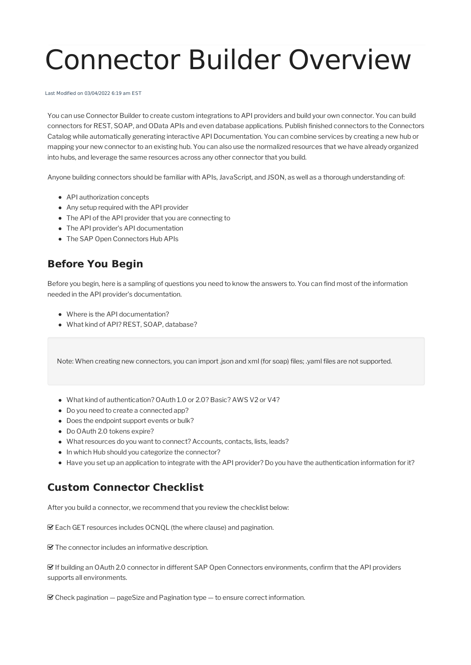## Connector Builder Overview

Last Modified on 03/04/2022 6:19 am EST

You can use Connector Builderto create custom integrations to API providers and build your own connector. You can build connectors for REST, SOAP, and OData APIs and even database applications. Publish finished connectors to the Connectors Catalog while automatically generating interactive API Documentation. You can combine services by creating a new hub or mapping your new connectorto an existing hub. You can also use the normalized resources that we have already organized into hubs, and leverage the same resources across any other connector that you build.

Anyone building connectors should be familiar with APIs, JavaScript, and JSON, as well as a thorough understanding of:

- API authorization concepts
- Any setup required with the API provider
- The API of the API provider that you are connecting to
- The API provider's API documentation
- The SAP Open Connectors Hub APIs

## **Before You Begin**

Before you begin, here is a sampling of questions you need to know the answers to. You can find most of the information needed in the API provider's documentation.

- Where is the API documentation?
- What kind of API? REST, SOAP, database?

Note: When creating new connectors, you can import.json and xml (for soap) files; .yaml files are not supported.

- What kind of authentication? OAuth 1.0 or 2.0? Basic? AWS V2 or V4?
- Do you need to create a connected app?
- Does the endpoint support events or bulk?
- Do OAuth 2.0 tokens expire?
- What resources do you want to connect? Accounts, contacts, lists, leads?
- In which Hub should you categorize the connector?
- Have you set up an application to integrate with the API provider? Do you have the authentication information for it?

## **Custom Connector Checklist**

After you build a connector, we recommend that you review the checklist below:

Each GET resources includes OCNQL (the where clause) and pagination.

The connector includes an informative description.

 If building an OAuth 2.0 connector in different SAP Open Connectors environments, confirm thatthe API providers supports all environments.

 $\mathcal G$  Check pagination  $-$  pageSize and Pagination type  $-$  to ensure correct information.